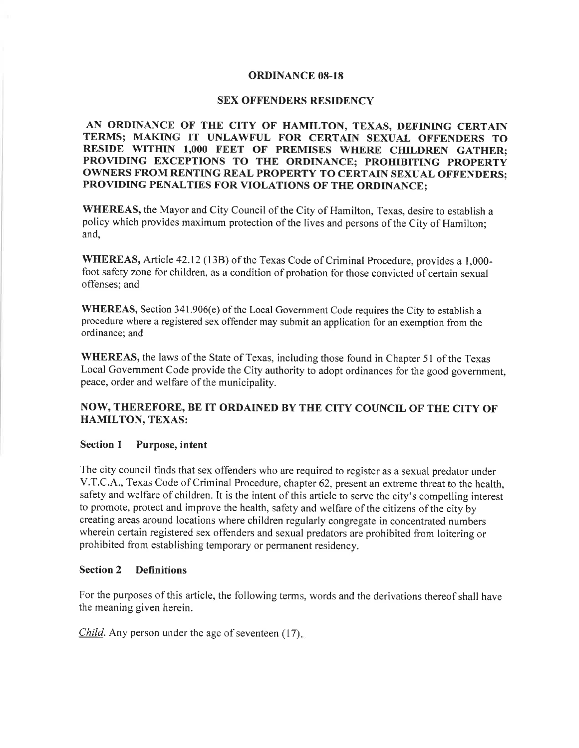## ORDINANCE 08-18

## SEX OFFENDERS RESIDENCY

AN ORDINANCE OF THE CITY OF HAMILTON, TEXAS, DEFINING CERTAIN TERMS; MAKING IT UNLAWFUL FOR CERTAIN SEXUAL OFFENDERS TO RESIDE WITHIN 1,000 FEET OF PREMISES WHERE CHILDREN GATHER; PROVIDING EXCEPTIONS TO THE ORDINANCE; PROHIBITING PROPERTY OWNERS FROM RENTING REAL PROPERTY TO CERTAIN SEXUAL OFFENDERS; PROVIDING PENALTIES FOR VIOLATIONS OF THE ORDINANCE;

WHEREAS, the Mayor and City Council of the City of Hamilton, Texas, desire to establish a policy which provides maximum protection of the lives and persons of the City of Hamilton; and,

WHEREAS, Article 42.12 (13B) of the Texas Code of Criminal Procedure, provides a 1,000foot safety zone for children, as a condition of probation for those convicted of certain sexual offenses; and

WHEREAS, Section 341.906(e) of the Local Govemment Code requires the City to establish a procedure where a registered sex offender may submit an application for an exemption from the ordinance; and

WHEREAS, the laws of the State of Texas, including those found in Chapter 51 of the Texas Local Government Code provide the City authority to adopt ordinances for the good government, peace, order and welfare of the municipality.

# NOW, THEREFORE, BB IT ORDAINED BY THE CITY COUNCIL OF THE CITY OF HAMILTON, TEXAS:

## Section I Purpose, intent

The city council finds that sex offenders who are required to register as a sexual predator under V.T.C.A., Texas Code of Criminal Procedure, chapter 62, present an extreme threat to the health, safety and welfare of children. It is the intent of this article to serve the city's compelling interest to promote, protect and improve the health, safety and welfare of the citizens of the city by creating areas around locations where children regularly congregate in concentrated numbers wherein certain registered sex offenders and sexual predators are prohibited from loitering or prohibited from establishing temporary or perrnanent residency.

### Section 2 Definitions

For the purposes of this article, the following terms, words and the derivations thereof shall have the meaning given herein.

*Child*. Any person under the age of seventeen  $(17)$ .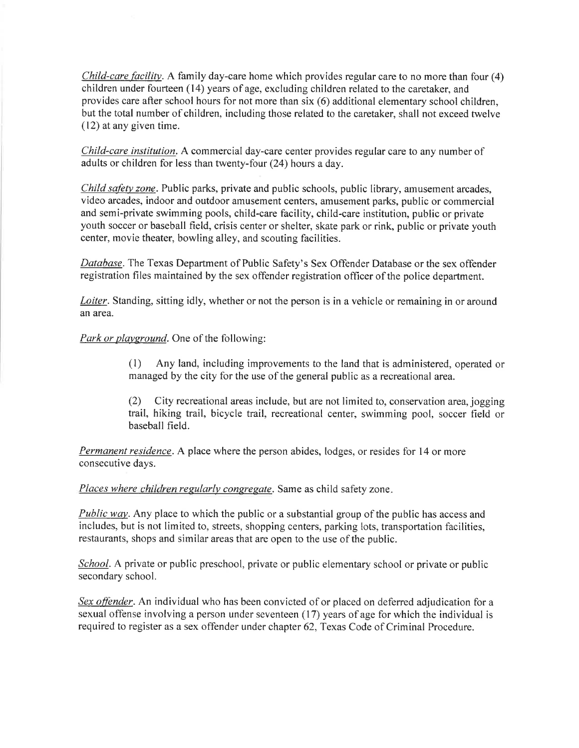*Child-care facility.* A family day-care home which provides regular care to no more than four  $(4)$ children under fourteen  $(14)$  years of age, excluding children related to the caretaker, and provides care after school hours for not more than six (6) additional elementary school children, but the total number of children, including those related to the caretaker, shall not exceed twelve (12) at any given time.

Child-care institution. A commercial day-care center provides regular care to any number of adults or children for less than twenty-four (24) hours a day.

Child safety zone. Public parks, private and public schools, public library, amusement arcades, video arcades, indoor and outdoor amusement centers, amusement parks, public or commercial and semi-private swimming pools, child-care facility, child-care institution, public or private youth soccer or baseball field, crisis center or shelter, skate park or rink, public or private youth center, movie theater, bowling alley, and scouting facilities.

Database. The Texas Department of Public Safety's Sex Offender Database or the sex offender registration files maintained by the sex offender registration officer of the police department.

Loiter. Standing, sitting idly, whether or not the person is in a vehicle or remaining in or around an area.

Park or playground. One of the following:

(l) Any land, including improvements to the land that is administered, operated or managed by the city for the use of the general public as a recreational area.

(2) City recreational areas include, but are not limited to, conservation area, jogging trail, hiking trail, bicycle trail, recreational center, swimming pool, soccer field or baseball field.

Permanent residence. A place where the person abides, lodges, or resides for 14 or more consecutive days.

Places where children regularly congregate. Same as child safety zone.

**Public way**. Any place to which the public or a substantial group of the public has access and includes, but is not limited to, streets, shopping centers, parking lots, transportation facilities, restaurants, shops and similar areas that are open to the use of the public.

School. A private or public preschool, private or public elementary school or private or public secondary school.

Sex offender. An individual who has been convicted of or placed on deferred adjudication for a sexual offense involving a person under seventeen (17) years of age for which the individual is required to register as a sex offender under chapter 62, Texas Code of Criminal Procedure.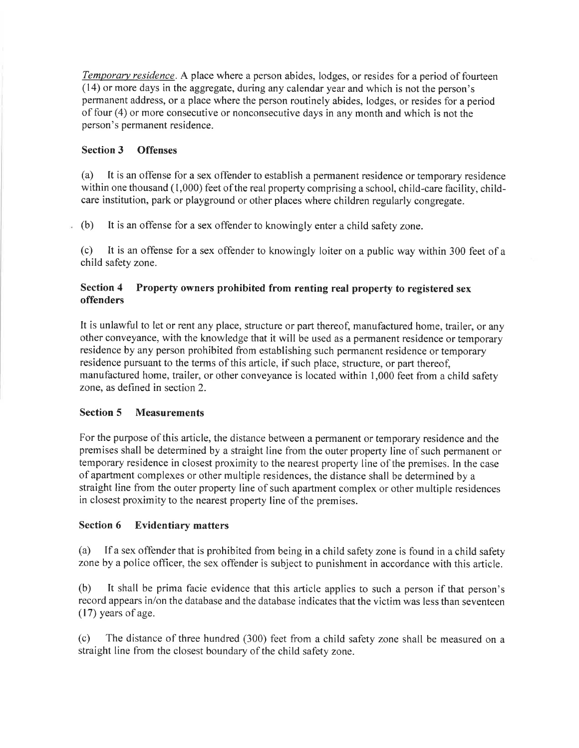Temporary residence. A place where a person abides, lodges, or resides for a period of fourteen (14) or more days in the aggregate, during any calendar year and which is not the person's permanent address, or a place where the person routinely abides, lodges, or resides for a period of four (4) or more consecutive or nonconsecutive days in any month and which is not the person's permanent residence.

# Section 3 Offenses

(a) It is an offense for a sex offender to establish a permanent residence or temporary residence within one thousand (1,000) feet of the real property comprising a school, child-care facility, childcare institution, park or playground or other places where children regularly congregate.

(b) It is an offense for a sex offender to knowingly enter a child safety zone. ä.

(c) It is an offense for a sex offender to knowingly loiter on a public way within 300 feet of <sup>a</sup> child safety zone.

#### Section 4 offenders Property owners prohibited from renting real property to registered sex

It is unlawful to let or rent any place, structure or part thereof, manufactured home, trailer, or any other conveyance, with the knowledge that it will be used as a perrnanent residence or temporary residence by any person prohibited from establishing such permanent residence or temporary residence pursuant to the terms of this article, if such place, structure, or part thereof, manufactured home, trailer, or other conveyance is located within I,000 feet from a child safety zone, as defined in section 2.

# Section 5 Measurements

For the purpose of this article, the distance between a perrnanent or temporary residence and the premises shall be determined by a straight line from the outer property line of such permanent or temporary residence in closest proximity to the nearest property line of the premises. In the case of apartment complexes or other multiple residences, the distance shall be determined by a straight line from the outer property line of such apartment complex or other multiple residences in closest proximity to the nearest property line of the premises.

# Section 6 Evidentiary matters

(a) If a sex offender that is prohibited from being in a child safety zone is found in a child safety zone by a police offìcer, the sex offender is subject to punishment in accordance with this article.

(b) It shall be prima facie evidence that this article applies to such a person if that person's record appears in/on the database and the database indicates that the victim was less than seventeen  $(17)$  years of age.

(c) The distance of three hundred (300) feet from a child safety zone shall be measured on <sup>a</sup> straight line from the closest boundary of the child safety zone.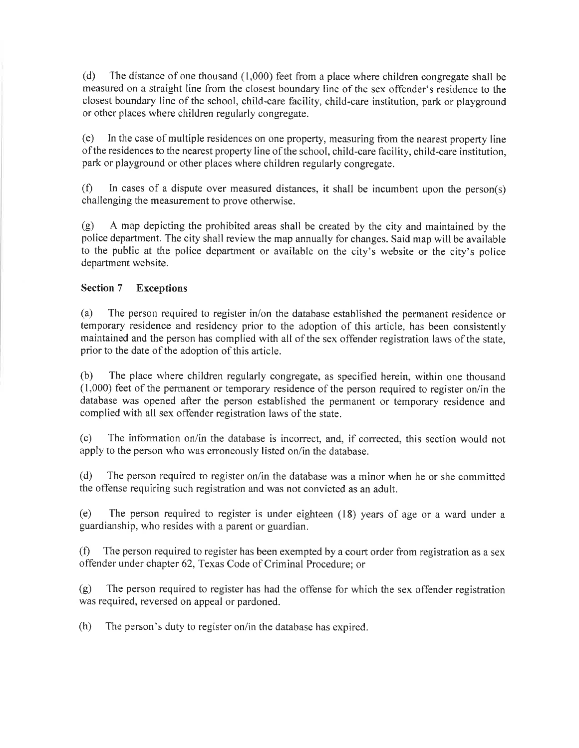(d) The distance of one thousand (1,000) feet from a place where children congregate shall be measured on a straight line from the closest boundary line of the sex offender's residence to the closest boundary line of the school, child-care facility, child-care institution, park or playground or other places where children regularly congregate.

(e) In the case of multiple residences on one property, measuring from the nearest property line of the residences to the nearest property line of the school, child-care facility, child-care institution, park or playground or other places where children regularly congregate.

(f) In cases of a dispute over measured distances, it shall be incumbent upon the person(s) challenging the measurement to prove otherwise.

(g) A map depicting the prohibited areas shall be created by the city and maintained by the police department. The city shall review the map annually for changes. Said map will be available to the public at the police department or available on the city's website or the city's police department website.

# Section 7 Exceptions

(a) The person required to register in/on the database established the permanent residence or temporary residence and residency prior to the adoption of this article, has been consistently maintained and the person has complied with all of the sex offender registration laws of the state, prior to the date of the adoption of this article.

(b) The place where children regularly congregate, as specified herein, within one thousand  $(1,000)$  feet of the permanent or temporary residence of the person required to register on/in the database was opened after the person established the permanent or temporary residence and complied with all sex offender registration laws of the state.

(c) The information on/in the database is incorrect, and, if corrected, this section would not apply to the person who was erroneously listed on/in the database.

(d) The person required to register on/in the database was a minor when he or she committed the offense requiring such registration and was not convicted as an adult.

(e) The person required to register is under eighteen (18) years of age or a ward under <sup>a</sup> guardianship, who resides with a parent or guardian.

(Ð The person required to register has been exempted by a court order from registration as a sex offender under chapter 62, Texas Code of Criminal Procedure; or

(g) The person required to register has had the offense for which the sex offender registration was required, reversed on appeal or pardoned.

(h) The person's duty to register on/in the database has expired.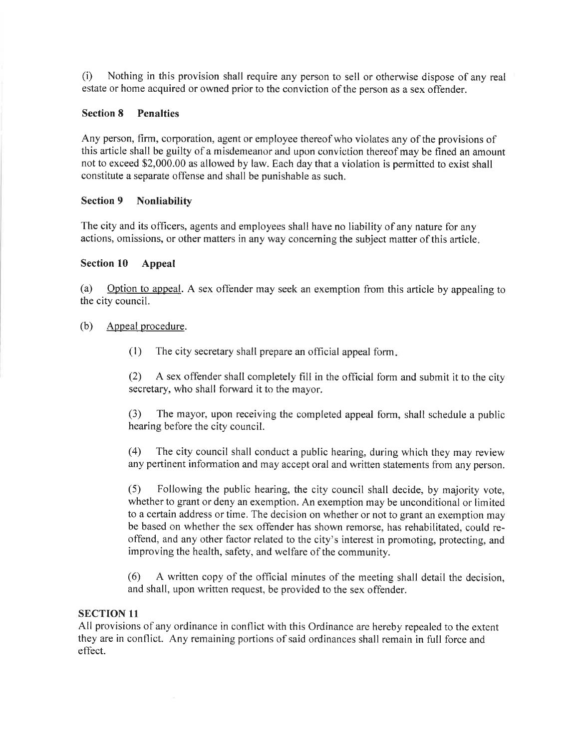(i) Nothing in this provision shall require any person to sell or otherwise dispose of any real estate or home acquired or owned prior to the conviction of the person as a sex offender.

#### **Section 8** Penalties

Any person, firm, corporation, agent or employee thereof who violates any of the provisions of this article shall be guilty of a misdemeanor and upon conviction thereof may be fined an amount not to exceed S2,000.00 as allowed by law. Each day that a violation is permitted to exist shall constitute a separate offense and shall be punishable as such.

#### Section 9 Nonliability

The city and its officers, agents and employees shall have no liability of any nature for any actions, omissions, or other matters in any way concerning the subject matter of this article

#### Section 10 Appeal

(a) Option to appeal. A sex offender may seek an exemption from this article by appealing to the city council.

# (b) Appeal procedure.

(1) The city secretary shall prepare an official appeal form

(2) A sex offender shall completely fill in the official form and submit it to the city secretary, who shall forward it to the mayor.

(3) The mayor, upon receiving the completed appeal form, shall schedule a public hearing before the city council.

(4) The city council shall conduct a public hearing, during which they may review any pertinent information and may accept oral and written statements from any person.

(5) Following the public hearing, the city council shall decide, by majority vote, whether to grant or deny an exemption. An exemption may be unconditional or limited to a certain address or time. The decision on whether or not to grant an exemption may be based on whether the sex offender has shown remorse, has rehabilitated, could reoffend, and any other factor related to the city's interest in promoting, protecting, and improving the health, safety, and welfare of the community.

(6) A written copy of the official minutes of the meeting shall detail the decision, and shall, upon written request, be provided to the sex offender.

# SECTION 1I

All provisions of any ordinance in conflict with this Ordinance are hereby repealed to the extent they are in conflict. Any remaining portions of said ordinances shall remain in full force and effect.